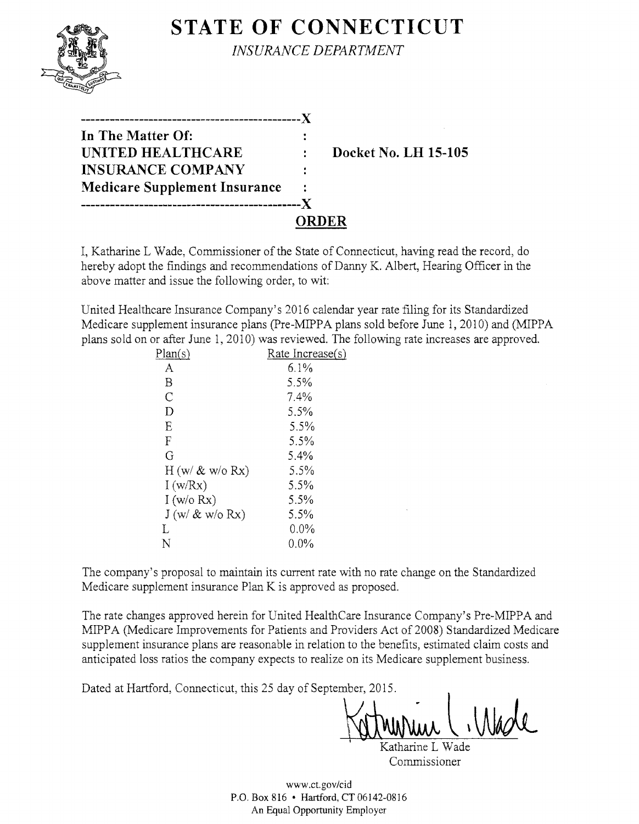

# **STATE OF CONNECTICUT**

*INSURANCE DEPARTMENT* 

| In The Matter Of:                    |       |                             |
|--------------------------------------|-------|-----------------------------|
| UNITED HEALTHCARE                    |       | <b>Docket No. LH 15-105</b> |
| <b>INSURANCE COMPANY</b>             |       |                             |
| <b>Medicare Supplement Insurance</b> |       |                             |
|                                      |       |                             |
|                                      | ORDER |                             |

I, Katharine L Wade, Commissioner of the State of Connecticut, having read the record, do hereby adopt the findings and recommendations of Danny K. Albert, Hearing Officer in the above matter and issue the following order, to wit:

United Healthcare Insurance Company's 2016 calendar year rate filing for its Standardized Medicare supplement insurance plans (Pre-MIPPA plans sold before June 1, 2010) and (MIPPA plans sold on or after June 1, 2010) was reviewed. The following rate increases are approved.

| Plan(s)          | Rate Increase(s) |
|------------------|------------------|
| A                | $6.1\%$          |
| Β                | 5.5%             |
| C                | 7.4%             |
| D                | 5.5%             |
| E                | $5.5\%$          |
| F                | 5.5%             |
| G                | 5.4%             |
| $H(w/\& w/o Rx)$ | 5.5%             |
| I(w/Rx)          | 5.5%             |
| I(w/o Rx)        | 5.5%             |
| $J(w/\& w/o Rx)$ | 5.5%             |
| L                | $0.0\%$          |
| N                | $0.0\%$          |

The company's proposal to maintain its current rate with no rate change on the Standardized Medicare supplement insurance Plan K is approved as proposed.

The rate changes approved herein for United HealthCare Insurance Company's Pre-MIPPA and MIPPA (Medicare Improvements for Patients and Providers Act of 2008) Standardized Medicare supplement insurance plans are reasonable in relation to the benefits, estimated claim costs and anticipated loss ratios the company expects to realize on its Medicare supplement business.<br>Dated at Hartford, Connecticut, this 25 day of September, 2015.

1

Katharine L Wade Commissioner

www.ct.gov/cid P.O. Box 816 • Hartford, CT 06142-0816 An Equal Opportunity Employer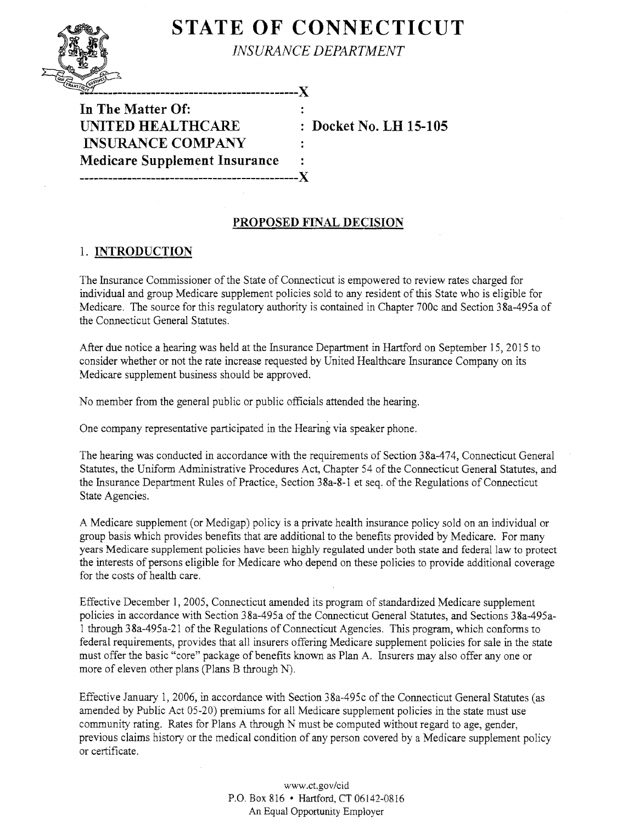# **STATE OF CONNECTICUT**

*INSURANCE DEPARTMENT* 

**In The Matter Of: UNITED HEALTHCARE** : Docket No. LH 15-105 **INSURANCE COMPANY Medicare Supplement Insurance**  -------------------

---------------------X

## **PROPOSED FINAL DECISION**

## 1. **INTRODUCTION**

The Insurance Commissioner ofthe State of Connecticut is empowered to review rates charged for individual and group Medicare supplement policies sold to any resident of this State who is eligible for Medicare. The source for this regulatory authority is contained in Chapter 700c and Section 3 8a-495a of the Connecticut General Statutes.

After due notice a hearing was held at the Insurance Department in Hartford on September 15, 2015 to consider whether or not the rate increase requested by United Healthcare Insurance Company on its Medicare supplement business should be approved.

No member from the general public or public officials attended the hearing.

One company representative participated in the Hearing via speaker phone.

The hearing was conducted in accordance with the requirements of Section 38a-474, Connecticut General Statutes, the Uniform Administrative Procedures Act, Chapter 54 of the Connecticut General Statutes, and the Insurance Department Rules of Practice, Section 3Sa-8-1 et seq. ofthe Regulations of Connecticut State Agencies.

A Medicare supplement (or Medigap) policy is a private health insurance policy sold on an individual or group basis which provides benefits that are additional to the benefits provided by Medicare. For many years Medicare supplement policies have been highly regulated under both state and federal law to protect the interests of persons eligible for Medicare who depend on these policies to provide additional coverage for the costs of health care.

Effective December 1, 2005, Connecticut amended its program of standardized Medicare supplement policies in accordance with Section 38a-495a of the Connecticut General Statutes, and Sections 38a-495al through 38a-495a-21 of the Regulations of Connecticut Agencies. This program, which conforms to federal requirements, provides that all insurers offering Medicare supplement policies for sale in the state must offer the basic "core" package of benefits known as Plan A. Insurers may also offer any one or more of eleven other plans (Plans B through N).

Effective January 1, 2006, in accordance with Section 38a-495c of the Connecticut General Statutes (as amended by Public Act 05-20) premiums for all Medicare supplement policies in the state must use community rating. Rates for Plans A through N must be computed without regard to age, gender, previous claims history or the medical condition of any person covered by a Medicare supplement policy or certificate.

> www.ct.gov/cid P.O. Box 816 • Hartford, CT06142-0816 An Equal Opportunity Employer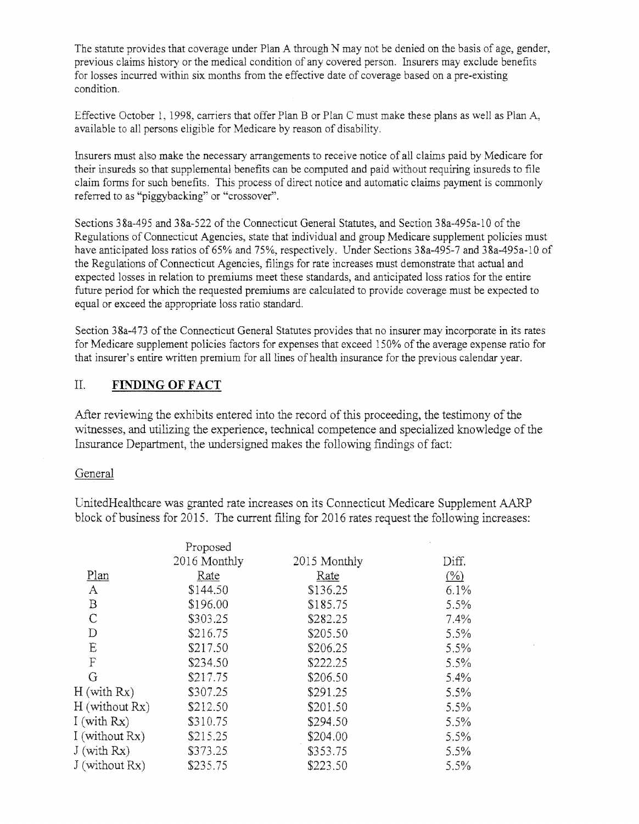The statute provides that coverage under Plan A through N may not be denied on the basis of age, gender, previous claims history or the medical condition of any covered person. Insurers may exclude benefits for losses incurred within six months from the effective date of coverage based on a pre-existing condition.

Effective October l, 1998, carriers that offer Plan B or Plan C must make these plans as well as Plan A, available to all persons eligible for Medicare by reason of disability.

Insurers must also make the necessary arrangements to receive notice of all claims paid by Medicare for their insureds so that supplemental benefits can be computed and paid without requiring insureds to file claim forms for such benefits. This process of direct notice and automatic claims payment is commonly referred to as "piggybacking" or "crossover".

Sections 38a-495 and 38a-522 of the Connecticut General Statutes, and Section 38a-495a-10 of the Regulations of Connecticut Agencies, state that individual and group Medicare supplement policies must have anticipated loss ratios of 65% and 75%, respectively. Under Sections 38a-495-7 and 38a-495a-10 of the Regulations of Connecticut Agencies, filings for rate increases must demonstrate that actual and expected losses in relation to premiums meet these standards, and anticipated loss ratios for the entire future period for which the requested premiums are calculated to provide coverage must be expected to equal or exceed the appropriate loss ratio standard.

Section 38a-473 of the Connecticut General Statutes provides that no insurer may incorporate in its rates for Medicare supplement policies factors for expenses that exceed 150% of the average expense ratio for that insurer's entire written premium for all lines of health insurance for the previous calendar year.

#### II. **FINDING OFFACT**

After reviewing the exhibits entered into the record of this proceeding, the testimony of the witnesses, and utilizing the experience, technical competence and specialized knowledge of the Insurance Department, the undersigned makes the following findings of fact:

#### General

UnitedHealthcare was granted rate increases on its Connecticut Medicare Supplement AARP block of business for 2015. The current filing for 2016 rates request the following increases:

|                           | Proposed     |              |                 |
|---------------------------|--------------|--------------|-----------------|
|                           | 2016 Monthly | 2015 Monthly | Diff.           |
| Plan                      | Rate         | Rate         | $(\frac{0}{0})$ |
| А                         | \$144.50     | \$136.25     | $6.1\%$         |
| B                         | \$196.00     | \$185.75     | 5.5%            |
| $\mathsf{C}$              | \$303.25     | \$282.25     | $7.4\%$         |
| D                         | \$216.75     | \$205.50     | $5.5\%$         |
| E                         | \$217.50     | \$206.25     | $5.5\%$         |
| $\boldsymbol{\mathrm{F}}$ | \$234.50     | \$222.25     | $5.5\%$         |
| G                         | \$217.75     | \$206.50     | $5.4\%$         |
| $H$ (with $Rx$ )          | \$307.25     | \$291.25     | 5.5%            |
| $H$ (without $Rx$ )       | \$212.50     | \$201.50     | $5.5\%$         |
| I (with $Rx$ )            | \$310.75     | \$294.50     | $5.5\%$         |
| I (without Rx)            | \$215.25     | \$204.00     | 5.5%            |
| $J$ (with $Rx$ )          | \$373.25     | \$353.75     | 5.5%            |
| J (without Rx)            | \$235.75     | \$223.50     | $5.5\%$         |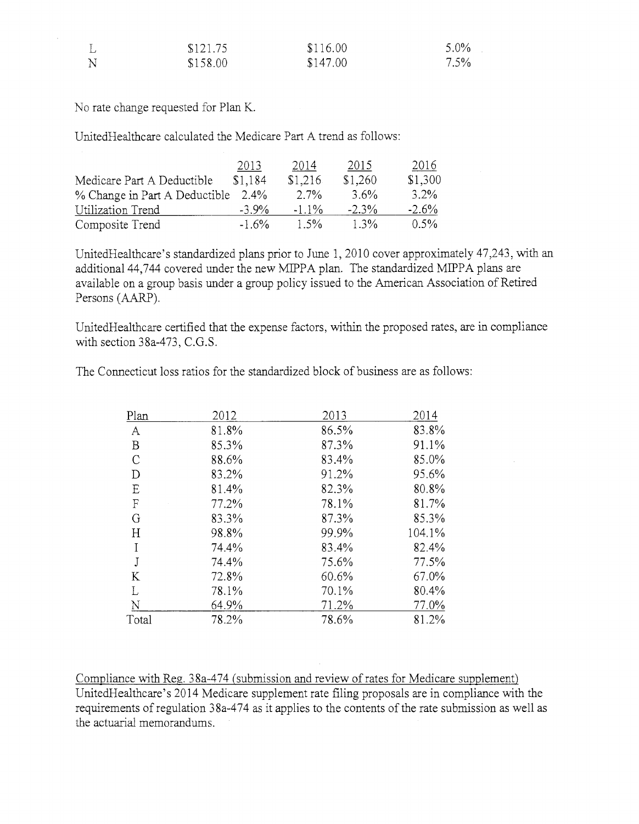|              | \$121.75 | \$116.00 | $5.0\%$ |
|--------------|----------|----------|---------|
| $\mathbf{N}$ | \$158.00 | \$147.00 | $7.5\%$ |

No rate change requested for Plan K.

 $\mathcal{L}_{\mathcal{A}}$ 

UnitedHealthcare calculated the Medicare Part A trend as follows:

|                               | 2013     | 2014     | 2015     | 2016    |
|-------------------------------|----------|----------|----------|---------|
| Medicare Part A Deductible    | \$1.184  | \$1,216  | \$1,260  | \$1,300 |
| % Change in Part A Deductible | 2.4%     | $2.7\%$  | $3.6\%$  | 3.2%    |
| Utilization Trend             | $-3.9\%$ | $-1.1\%$ | $-2.3\%$ | $-2.6%$ |
| Composite Trend               | $-1.6\%$ | $1.5\%$  | $1.3\%$  | $0.5\%$ |

UnitedHealthcare's standardized plans prior to June 1, 2010 cover approximately 47,243, with an additional 44,744 covered under the new MIPPA plan. The standardized MIPPA plans are available on a group basis under a group policy issued to the American Association of Retired Persons (AARP).

UnitedHea1thcare certified that the expense factors, within the proposed rates, are in compliance with section 38a-473, C.G.S.

The Connecticut loss ratios for the standardized block of business are as follows:

| Plan         | 2012  | 2013  | 2014   |
|--------------|-------|-------|--------|
| $\mathbf{A}$ | 81.8% | 86.5% | 83.8%  |
| $\mathbf B$  | 85.3% | 87.3% | 91.1%  |
| $\mathsf{C}$ | 88.6% | 83.4% | 85.0%  |
| D            | 83.2% | 91.2% | 95.6%  |
| E            | 81.4% | 82.3% | 80.8%  |
| $\mathbf F$  | 77.2% | 78.1% | 81.7%  |
| G            | 83.3% | 87.3% | 85.3%  |
| H            | 98.8% | 99.9% | 104.1% |
| I            | 74.4% | 83.4% | 82.4%  |
| $\bf J$      | 74.4% | 75.6% | 77.5%  |
| K            | 72.8% | 60.6% | 67.0%  |
| L            | 78.1% | 70.1% | 80.4%  |
| N            | 64.9% | 71.2% | 77.0%  |
| Total        | 78.2% | 78.6% | 81.2%  |

Compliance with Reg. 38a-474 (submission and review of rates for Medicare supplement) UnitedHealthcare's 2014 Medicare supplement rate filing proposals are in compliance with the requirements of regulation 38a-474 as it applies to the contents of the rate submission as well as the actuarial memorandums.